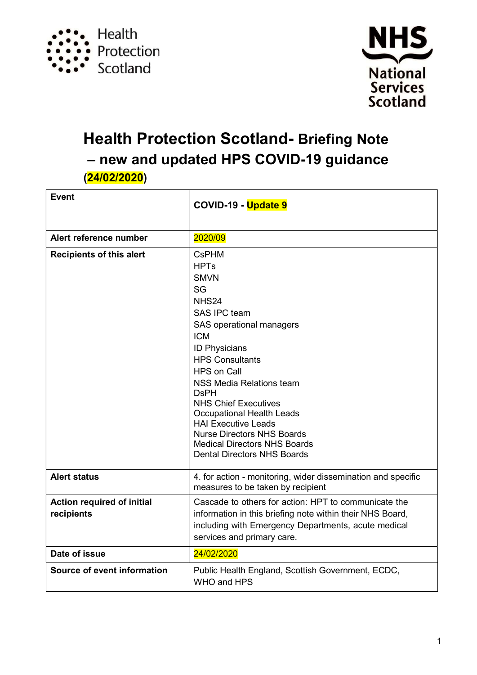



# Health Protection Scotland- Briefing Note – new and updated HPS COVID-19 guidance (24/02/2020)

| <b>Event</b>                                    | COVID-19 - Update 9                                                                                                                                                                                                                                                                                                                                                                                                                                              |
|-------------------------------------------------|------------------------------------------------------------------------------------------------------------------------------------------------------------------------------------------------------------------------------------------------------------------------------------------------------------------------------------------------------------------------------------------------------------------------------------------------------------------|
| Alert reference number                          | 2020/09                                                                                                                                                                                                                                                                                                                                                                                                                                                          |
| <b>Recipients of this alert</b>                 | <b>CsPHM</b><br><b>HPTs</b><br><b>SMVN</b><br><b>SG</b><br>NHS24<br>SAS IPC team<br>SAS operational managers<br><b>ICM</b><br><b>ID Physicians</b><br><b>HPS Consultants</b><br><b>HPS on Call</b><br>NSS Media Relations team<br><b>DsPH</b><br><b>NHS Chief Executives</b><br><b>Occupational Health Leads</b><br><b>HAI Executive Leads</b><br><b>Nurse Directors NHS Boards</b><br><b>Medical Directors NHS Boards</b><br><b>Dental Directors NHS Boards</b> |
| <b>Alert status</b>                             | 4. for action - monitoring, wider dissemination and specific<br>measures to be taken by recipient                                                                                                                                                                                                                                                                                                                                                                |
| <b>Action required of initial</b><br>recipients | Cascade to others for action: HPT to communicate the<br>information in this briefing note within their NHS Board,<br>including with Emergency Departments, acute medical<br>services and primary care.                                                                                                                                                                                                                                                           |
| Date of issue                                   | 24/02/2020                                                                                                                                                                                                                                                                                                                                                                                                                                                       |
| Source of event information                     | Public Health England, Scottish Government, ECDC,<br>WHO and HPS                                                                                                                                                                                                                                                                                                                                                                                                 |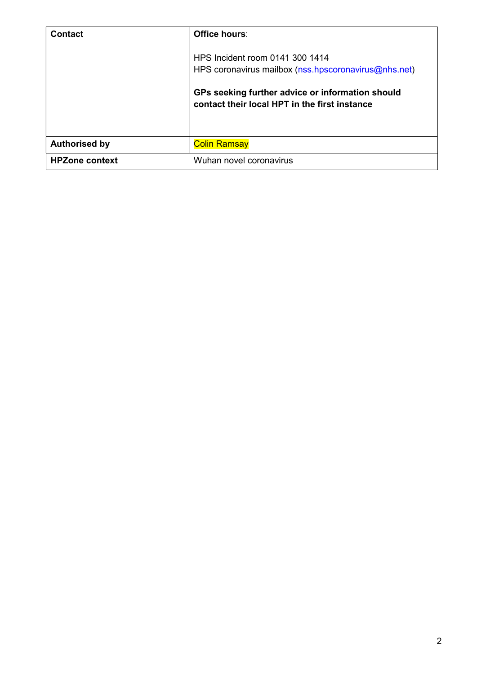| <b>Contact</b>        | Office hours:                                                                                     |
|-----------------------|---------------------------------------------------------------------------------------------------|
|                       | HPS Incident room 0141 300 1414<br>HPS coronavirus mailbox (nss.hpscoronavirus@nhs.net)           |
|                       | GPs seeking further advice or information should<br>contact their local HPT in the first instance |
| <b>Authorised by</b>  | <b>Colin Ramsay</b>                                                                               |
| <b>HPZone context</b> | Wuhan novel coronavirus                                                                           |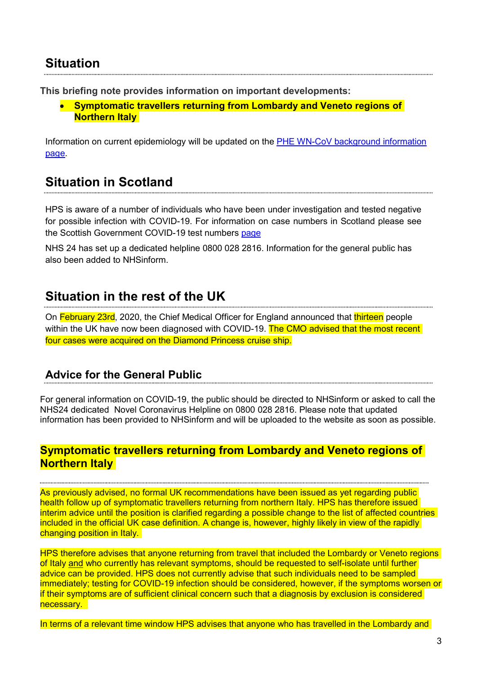### **Situation**

This briefing note provides information on important developments:

 Symptomatic travellers returning from Lombardy and Veneto regions of **Northern Italy** 

Information on current epidemiology will be updated on the PHE WN-CoV background information page.

### Situation in Scotland

HPS is aware of a number of individuals who have been under investigation and tested negative for possible infection with COVID-19. For information on case numbers in Scotland please see the Scottish Government COVID-19 test numbers page

NHS 24 has set up a dedicated helpline 0800 028 2816. Information for the general public has also been added to NHSinform.

## Situation in the rest of the UK

On February 23rd, 2020, the Chief Medical Officer for England announced that thirteen people within the UK have now been diagnosed with COVID-19. The CMO advised that the most recent four cases were acquired on the Diamond Princess cruise ship.

#### Advice for the General Public

For general information on COVID-19, the public should be directed to NHSinform or asked to call the NHS24 dedicated Novel Coronavirus Helpline on 0800 028 2816. Please note that updated information has been provided to NHSinform and will be uploaded to the website as soon as possible.

#### Symptomatic travellers returning from Lombardy and Veneto regions of **Northern Italy**

As previously advised, no formal UK recommendations have been issued as yet regarding public health follow up of symptomatic travellers returning from northern Italy. HPS has therefore issued interim advice until the position is clarified regarding a possible change to the list of affected countries included in the official UK case definition. A change is, however, highly likely in view of the rapidly changing position in Italy.

HPS therefore advises that anyone returning from travel that included the Lombardy or Veneto regions of Italy and who currently has relevant symptoms, should be requested to self-isolate until further advice can be provided. HPS does not currently advise that such individuals need to be sampled immediately; testing for COVID-19 infection should be considered, however, if the symptoms worsen or if their symptoms are of sufficient clinical concern such that a diagnosis by exclusion is considered necessary.

In terms of a relevant time window HPS advises that anyone who has travelled in the Lombardy and